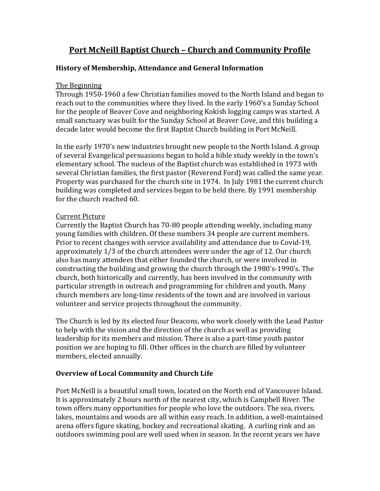# **Port McNeill Baptist Church – Church and Community Profile**

### **History of Membership, Attendance and General Information**

#### The Beginning

Through 1950-1960 a few Christian families moved to the North Island and began to reach out to the communities where they lived. In the early 1960's a Sunday School for the people of Beaver Cove and neighboring Kokish logging camps was started. A small sanctuary was built for the Sunday School at Beaver Cove, and this building a decade later would become the first Baptist Church building in Port McNeill.

In the early 1970's new industries brought new people to the North Island. A group of several Evangelical persuasions began to hold a bible study weekly in the town's elementary school. The nucleus of the Baptist church was established in 1973 with several Christian families, the first pastor (Reverend Ford) was called the same year. Property was purchased for the church site in 1974. In July 1981 the current church building was completed and services began to be held there. By 1991 membership for the church reached 60.

### Current Picture

Currently the Baptist Church has 70-80 people attending weekly, including many young families with children. Of these numbers 34 people are current members. Prior to recent changes with service availability and attendance due to Covid-19, approximately 1/3 of the church attendees were under the age of 12. Our church also has many attendees that either founded the church, or were involved in constructing the building and growing the church through the 1980's-1990's. The church, both historically and currently, has been involved in the community with particular strength in outreach and programming for children and youth. Many church members are long-time residents of the town and are involved in various volunteer and service projects throughout the community.

The Church is led by its elected four Deacons, who work closely with the Lead Pastor to help with the vision and the direction of the church as well as providing leadership for its members and mission. There is also a part-time youth pastor position we are hoping to fill. Other offices in the church are filled by volunteer members, elected annually.

### **Overview of Local Community and Church Life**

Port McNeill is a beautiful small town, located on the North end of Vancouver Island. It is approximately 2 hours north of the nearest city, which is Campbell River. The town offers many opportunities for people who love the outdoors. The sea, rivers, lakes, mountains and woods are all within easy reach. In addition, a well-maintained arena offers figure skating, hockey and recreational skating. A curling rink and an outdoors swimming pool are well used when in season. In the recent years we have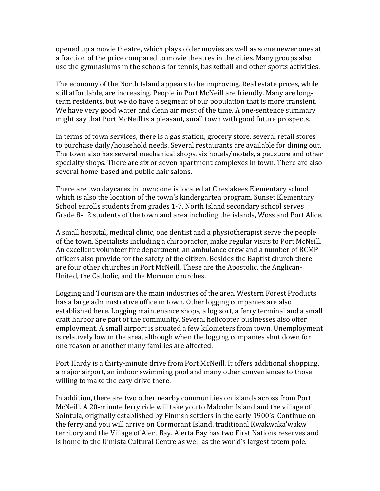opened up a movie theatre, which plays older movies as well as some newer ones at a fraction of the price compared to movie theatres in the cities. Many groups also use the gymnasiums in the schools for tennis, basketball and other sports activities.

The economy of the North Island appears to be improving. Real estate prices, while still affordable, are increasing. People in Port McNeill are friendly. Many are longterm residents, but we do have a segment of our population that is more transient. We have very good water and clean air most of the time. A one-sentence summary might say that Port McNeill is a pleasant, small town with good future prospects.

In terms of town services, there is a gas station, grocery store, several retail stores to purchase daily/household needs. Several restaurants are available for dining out. The town also has several mechanical shops, six hotels/motels, a pet store and other specialty shops. There are six or seven apartment complexes in town. There are also several home-based and public hair salons.

There are two daycares in town; one is located at Cheslakees Elementary school which is also the location of the town's kindergarten program. Sunset Elementary School enrolls students from grades 1-7. North Island secondary school serves Grade 8-12 students of the town and area including the islands, Woss and Port Alice.

A small hospital, medical clinic, one dentist and a physiotherapist serve the people of the town. Specialists including a chiropractor, make regular visits to Port McNeill. An excellent volunteer fire department, an ambulance crew and a number of RCMP officers also provide for the safety of the citizen. Besides the Baptist church there are four other churches in Port McNeill. These are the Apostolic, the Anglican-United, the Catholic, and the Mormon churches.

Logging and Tourism are the main industries of the area. Western Forest Products has a large administrative office in town. Other logging companies are also established here. Logging maintenance shops, a log sort, a ferry terminal and a small craft harbor are part of the community. Several helicopter businesses also offer employment. A small airport is situated a few kilometers from town. Unemployment is relatively low in the area, although when the logging companies shut down for one reason or another many families are affected.

Port Hardy is a thirty-minute drive from Port McNeill. It offers additional shopping, a major airport, an indoor swimming pool and many other conveniences to those willing to make the easy drive there.

In addition, there are two other nearby communities on islands across from Port McNeill. A 20-minute ferry ride will take you to Malcolm Island and the village of Sointula, originally established by Finnish settlers in the early 1900's. Continue on the ferry and you will arrive on Cormorant Island, traditional [Kwakwaka](https://en.wikipedia.org/wiki/Kwakwaka%27wakw)'wakw territory and the Village of Alert Bay. Alerta Bay has two First Nations reserves and is home to the U'mista Cultural Centre as well as the world's largest totem pole.